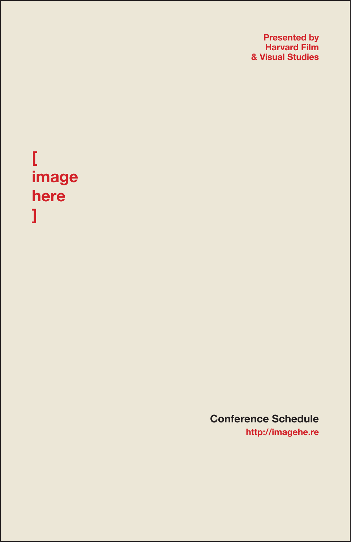**Presented by Harvard Film & Visual Studies**

# **[ image here ]**

**Conference Schedule http://imagehe.re**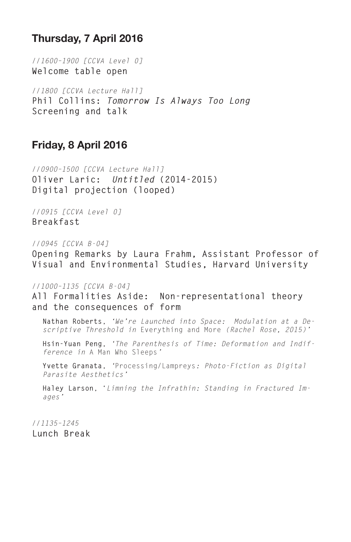# **Thursday, 7 April 2016**

*//1600–1900 [CCVA Level 0]* **Welcome table open**

*//1800 [CCVA Lecture Hall]* **Phil Collins:** *Tomorrow Is Always Too Long* **Screening and talk**

## **Friday, 8 April 2016**

*//0900–1500 [CCVA Lecture Hall]* **Oliver Laric:** *Untitled* **(2014-2015) Digital projection (looped)**

*//0915 [CCVA Level 0]* **Breakfast**

*//0945 [CCVA B-04]*

**Opening Remarks by Laura Frahm, Assistant Professor of Visual and Environmental Studies, Harvard University**

*//1000–1135 [CCVA B-04]*

**All Formalities Aside: Non-representational theory and the consequences of form**

**Nathan Roberts**, *'We're Launched into Space: Modulation at a Descriptive Threshold in* Everything and More *(Rachel Rose, 2015)'*

**Hsin-Yuan Peng**, *'The Parenthesis of Time: Deformation and Indifference in* A Man Who Sleeps*'*

**Yvette Granata**, *'*Processing/Lampreys*: Photo-Fiction as Digital Parasite Aesthetics'*

**Haley Larson**, '*Limning the Infrathin: Standing in Fractured Images'*

*//1135–1245* **Lunch Break**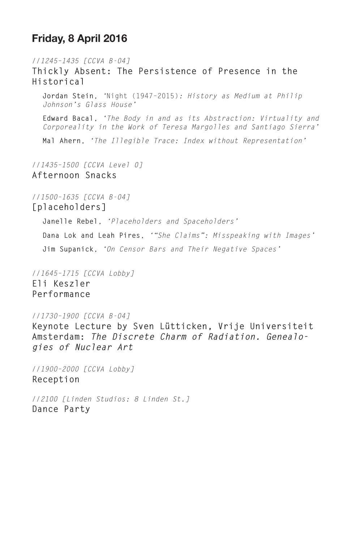## **Friday, 8 April 2016**

*//1245–1435 [CCVA B-04]* **Thickly Absent: The Persistence of Presence in the Historical Jordan Stein**, *'*Night (1947–2015)*: History as Medium at Philip Johnson's Glass House'* **Edward Bacal**, *'The Body in and as its Abstraction: Virtuality and Corporeality in the Work of Teresa Margolles and Santiago Sierra'*

**Mal Ahern**, *'The Illegible Trace: Index without Representation'*

*//1435–1500 [CCVA Level 0]* **Afternoon Snacks**

*//1500–1635 [CCVA B-04]* **[placeholders]**

**Janelle Rebel**, *'Placeholders and Spaceholders'*

**Dana Lok and Leah Pires**, *'"She Claims": Misspeaking with Images'* **Jim Supanick**, *'On Censor Bars and Their Negative Spaces'*

*//1645–1715 [CCVA Lobby]* **Eli Keszler Performance**

*//1730–1900 [CCVA B-04]*

**Keynote Lecture by Sven Lütticken, Vrije Universiteit Amsterdam:** *The Discrete Charm of Radiation. Genealogies of Nuclear Art*

*//1900–2000 [CCVA Lobby]* **Reception**

*//2100 [Linden Studios: 8 Linden St.]* **Dance Party**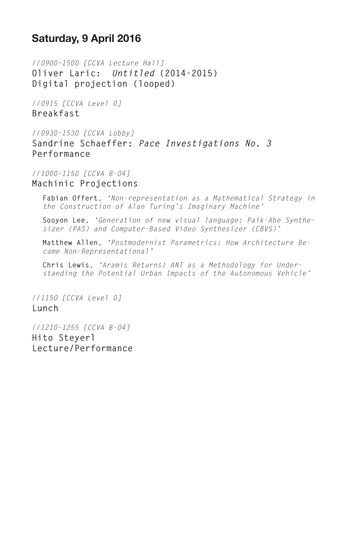# **Saturday, 9 April 2016**

*//0900–1500 [CCVA Lecture Hall]* **Oliver Laric:** *Untitled* **(2014-2015) Digital projection (looped)**

*//0915 [CCVA Level 0]* **Breakfast**

*//0930–1530 [CCVA Lobby]* **Sandrine Schaeffer:** *Pace Investigations No. 3* **Performance**

*//1000–1150 [CCVA B-04]* **Machinic Projections**

**Fabian Offert**, *'Non-representation as a Mathematical Strategy in the Construction of Alan Turing's Imaginary Machine'*

**Sooyon Lee**, *'Generation of new visual language: Paik-Abe Synthesizer (PAS) and Computer-Based Video Synthesizer (CBVS)'*

**Matthew Allen**, *'Postmodernist Parametrics: How Architecture Became Non-Representational'*

**Chris Lewis**, *'Aramis Returns! ANT as a Methodology for Understanding the Potential Urban Impacts of the Autonomous Vehicle'*

*//1150 [CCVA Level 0]* **Lunch** 

*//1210-1255 [CCVA B-04]* **Hito Steyerl Lecture/Performance**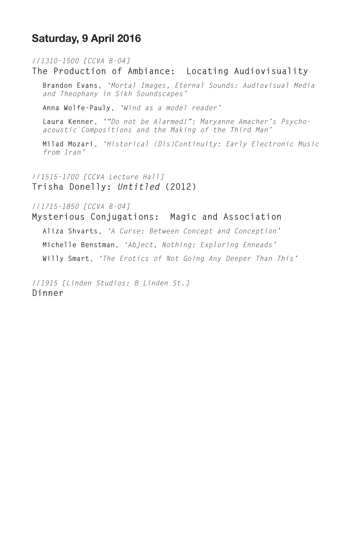# **Saturday, 9 April 2016**

*//1310–1500 [CCVA B-04]*

#### **The Production of Ambiance: Locating Audiovisuality**

**Brandon Evans**, *'Mortal Images, Eternal Sounds: Audiovisual Media and Theophany in Sikh Soundscapes'*

**Anna Wolfe-Pauly**, *'Wind as a model reader'*

**Laura Kenner**, *'"Do not be Alarmed!": Maryanne Amacher's Psychoacoustic Compositions and the Making of the Third Man'*

**Milad Mozari**, *'Historical (Dis)Continuity: Early Electronic Music from Iran'*

*//1515–1700 [CCVA Lecture Hall]* **Trisha Donelly:** *Untitled* **(2012)**

*//1715–1850 [CCVA B-04]*

#### **Mysterious Conjugations: Magic and Association**

**Aliza Shvarts**, *'A Curse: Between Concept and Conception'* **Michelle Benstman**, *'Abject, Nothing: Exploring Enneads'* **Willy Smart**, *'The Erotics of Not Going Any Deeper Than This'*

*//1915 [Linden Studios: 8 Linden St.]* **Dinner**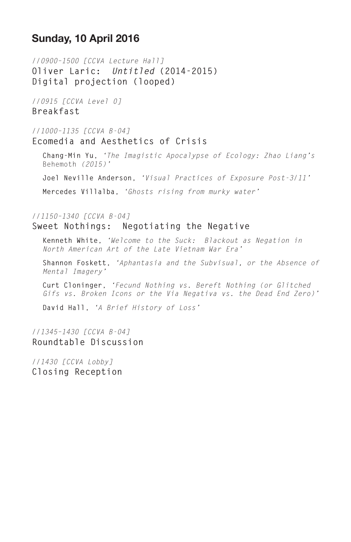## **Sunday, 10 April 2016**

*//0900–1500 [CCVA Lecture Hall]* **Oliver Laric:** *Untitled* **(2014-2015) Digital projection (looped)**

*//0915 [CCVA Level 0]* **Breakfast**

*//1000–1135 [CCVA B-04]* **Ecomedia and Aesthetics of Crisis**

**Chang-Min Yu**, *'The Imagistic Apocalypse of Ecology: Zhao Liang's*  Behemoth *(2015)'*

**Joel Neville Anderson**, *'Visual Practices of Exposure Post-3/11'*

**Mercedes Villalba**, *'Ghosts rising from murky water'*

### *//1150–1340 [CCVA B-04]* **Sweet Nothings: Negotiating the Negative**

**Kenneth White**, *'Welcome to the Suck: Blackout as Negation in North American Art of the Late Vietnam War Era'*

**Shannon Foskett**, *'Aphantasia and the Subvisual, or the Absence of Mental Imagery'*

**Curt Cloninger**, *'Fecund Nothing vs. Bereft Nothing (or Glitched Gifs vs. Broken Icons or the Via Negativa vs. the Dead End Zero)'*

**David Hall**, *'A Brief History of Loss'*

## *//1345–1430 [CCVA B-04]* **Roundtable Discussion**

*//1430 [CCVA Lobby]* **Closing Reception**